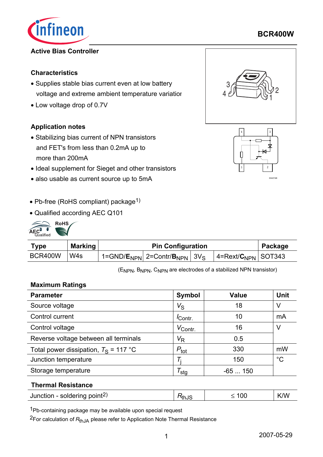

## **Active Bias Controller**

## **Characteristics**

- Supplies stable bias current even at low battery voltage and extreme ambient temperature variation
- Low voltage drop of 0.7V

## **Application notes**

- Stabilizing bias current of NPN transistors and FET's from less than 0.2mA up to more than 200mA
- Ideal supplement for Sieget and other transistors
- also usable as current source up to 5mA
- Pb-free (RoHS compliant) package<sup>1)</sup>
- Qualified according AEC Q101



| Type    | Marking          | <b>Pin Configuration</b> |                                                                     |  |                            | Package |
|---------|------------------|--------------------------|---------------------------------------------------------------------|--|----------------------------|---------|
| BCR400W | W <sub>4</sub> s |                          | 1=GND/ $E_{\rm NPN}$   2=Contr/ ${\bf B}_{\rm NPN}$   3V $_{\rm S}$ |  | 4= $Text/C_{NPN}$   SOT343 |         |

(ENPN, BNPN, CNPN are electrodes of a stabilized NPN transistor)

#### **Maximum Ratings**

| <b>Parameter</b>                        | <b>Symbol</b>    | <b>Value</b> | <b>Unit</b> |
|-----------------------------------------|------------------|--------------|-------------|
| Source voltage                          | $V_{\rm S}$      | 18           | V           |
| Control current                         | Contr.           | 10           | mA          |
| Control voltage                         | $V_{Contr.}$     | 16           | V           |
| Reverse voltage between all terminals   | $V_{\mathsf{R}}$ | 0.5          |             |
| Total power dissipation, $T_S = 117$ °C | $P_{\text{tot}}$ | 330          | mW          |
| Junction temperature                    | T.               | 150          | $^{\circ}C$ |
| Storage temperature                     | <sup>/</sup> stg | $-65150$     |             |
|                                         |                  |              |             |

#### **Thermal Resistance**

| Junction - soldering point <sup>2)</sup> | <b>K</b> thu | 0C | K/W |
|------------------------------------------|--------------|----|-----|
|                                          |              |    |     |

1Pb-containing package may be available upon special request

<sup>2</sup>For calculation of R<sub>thJA</sub> please refer to Application Note Thermal Resistance





**BCR400W**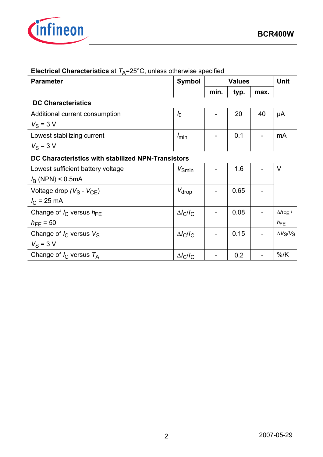

| <b>Parameter</b>                                   | <b>Symbol</b>     |      | <b>Values</b> |      |                          |  |
|----------------------------------------------------|-------------------|------|---------------|------|--------------------------|--|
|                                                    |                   | min. | typ.          | max. |                          |  |
| <b>DC Characteristics</b>                          |                   |      |               |      |                          |  |
| Additional current consumption                     | I <sub>0</sub>    |      | 20            | 40   | μA                       |  |
| $V_S = 3 V$                                        |                   |      |               |      |                          |  |
| Lowest stabilizing current                         | $I_{\text{min}}$  |      | 0.1           |      | mA                       |  |
| $V_S = 3 V$                                        |                   |      |               |      |                          |  |
| DC Characteristics with stabilized NPN-Transistors |                   |      |               |      |                          |  |
| Lowest sufficient battery voltage                  | $V_{\text{Smin}}$ |      | 1.6           |      | $\vee$                   |  |
| $I_{\rm B}$ (NPN) < 0.5mA                          |                   |      |               |      |                          |  |
| Voltage drop ( $V_S$ - $V_{CE}$ )                  | $V_{drop}$        |      | 0.65          |      |                          |  |
| $I_{\rm C}$ = 25 mA                                |                   |      |               |      |                          |  |
| Change of $I_{\rm C}$ versus $h_{\rm FE}$          | $\Delta l_C/l_C$  |      | 0.08          |      | $\Delta h_{\text{FE}}$ / |  |
| $h_{\text{FE}} = 50$                               |                   |      |               |      | $h_{\text{FE}}$          |  |
| Change of $I_{\rm C}$ versus $V_{\rm S}$           | $\Delta l_C/l_C$  |      | 0.15          |      | $\Delta V_S/V_S$         |  |
| $V_{\rm S}$ = 3 V                                  |                   |      |               |      |                          |  |
| Change of $I_C$ versus $T_A$                       | $\Delta l_C/l_C$  |      | 0.2           |      | $%$ /K                   |  |

# **Electrical Characteristics** at  $T_A = 25^\circ \text{C}$ , unless otherwise specified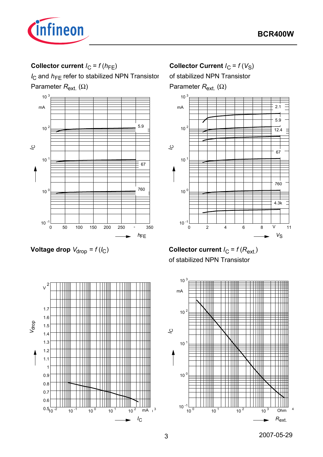

## **Collector current**  $I_C = f(h_{FE})$

*I*<sub>C</sub> and *h*<sub>FE</sub> refer to stabilized NPN Transistor Parameter *R*ext. (Ω)



**Collector Current**  $I_C = f(V_S)$ 

of stabilized NPN Transistor Parameter  $R_{ext.}$  (Ω)



*V*oltage drop  $V_{\text{drop}} = f(l_C)$ 

**Collector current**  $I_C = f(R_{ext.})$ of stabilized NPN Transistor



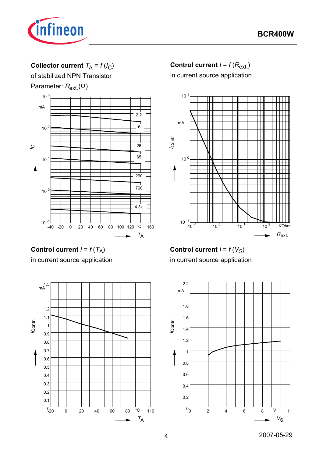

## **Collector current**  $T_A = f(l_C)$

of stabilized NPN Transistor Parameter:  $R_{ext}(\Omega)$ 



## **Control current**  $I = f(R_{ext.})$

in current source application







**Control current**  $I = f(V_S)$ in current source application

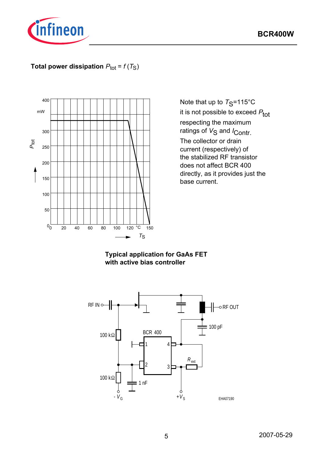

## **Total power dissipation**  $P_{\text{tot}} = f(T_S)$



Note that up to  $T_S$ =115°C it is not possible to exceed  $P_{\text{tot}}$ respecting the maximum ratings of V<sub>S</sub> and *I*<sub>Contr.</sub> The collector or drain current (respectively) of the stabilized RF transistor does not affect BCR 400 directly, as it provides just the base current.

## **Typical application for GaAs FET with active bias controller**

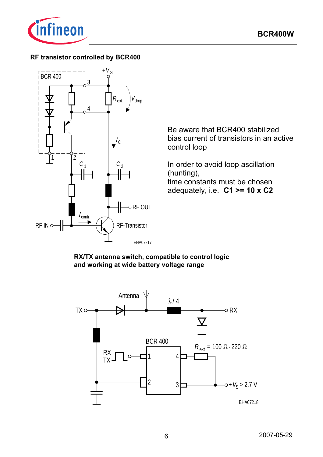

## **RF transistor controlled by BCR400**



Be aware that BCR400 stabilized bias current of transistors in an active control loop

In order to avoid loop ascillation (hunting), time constants must be chosen adequately, i.e. **C1 >= 10 x C2**

**RX/TX antenna switch, compatible to control logic and working at wide battery voltage range**

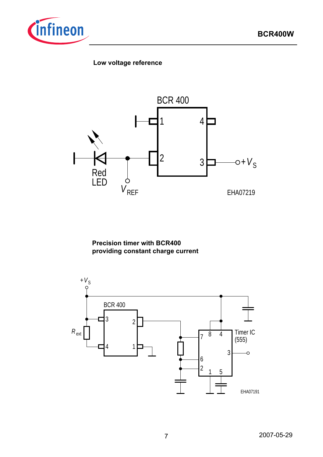

## **Low voltage reference**



**Precision timer with BCR400 providing constant charge current**

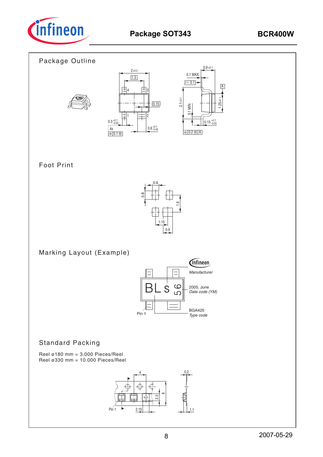



## Foot Print



Marking Layout (Example)



## Standard Packing

Reel ø180 mm =  $3.000$  Pieces/Reel Reel ø330 mm = 10.000 Pieces/Reel